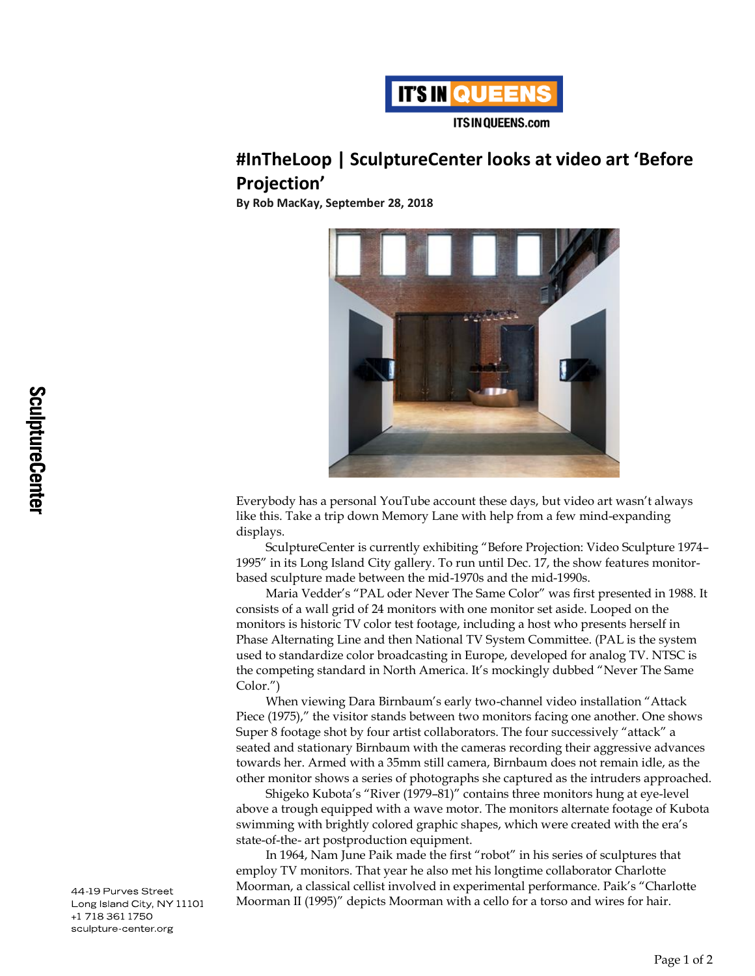

## **#InTheLoop | SculptureCenter looks at video art 'Before Projection'**

**By Rob MacKay, September 28, 2018**



Everybody has a personal YouTube account these days, but video art wasn't always like this. Take a trip down Memory Lane with help from a few mind-expanding displays.

SculptureCenter is currently exhibiting "[Before Projection: Video Sculpture 1974](https://www.sculpture-center.org/exhibitions/)– [1995](https://www.sculpture-center.org/exhibitions/)" in its Long Island City gallery. To run until Dec. 17, the show features monitorbased sculpture made between the mid-1970s and the mid-1990s.

Maria Vedder's "PAL oder Never The Same Color" was first presented in 1988. It consists of a wall grid of 24 monitors with one monitor set aside. Looped on the monitors is historic TV color test footage, including a host who presents herself in Phase Alternating Line and then National TV System Committee. (PAL is the system used to standardize color broadcasting in Europe, developed for analog TV. NTSC is the competing standard in North America. It's mockingly dubbed "Never The Same Color.")

When viewing Dara Birnbaum's early two-channel video installation "Attack Piece (1975)," the visitor stands between two monitors facing one another. One shows Super 8 footage shot by four artist collaborators. The four successively "attack" a seated and stationary Birnbaum with the cameras recording their aggressive advances towards her. Armed with a 35mm still camera, Birnbaum does not remain idle, as the other monitor shows a series of photographs she captured as the intruders approached.

Shigeko Kubota's "River (1979–81)" contains three monitors hung at eye-level above a trough equipped with a wave motor. The monitors alternate footage of Kubota swimming with brightly colored graphic shapes, which were created with the era's state-of-the- art postproduction equipment.

In 1964, Nam June Paik made the first "robot" in his series of sculptures that employ TV monitors. That year he also met his longtime collaborator Charlotte Moorman, a classical cellist involved in experimental performance. Paik's "Charlotte Moorman II (1995)" depicts Moorman with a cello for a torso and wires for hair.

44-19 Purves Street Long Island City, NY 11101 +1 718 361 1750 sculpture-center.org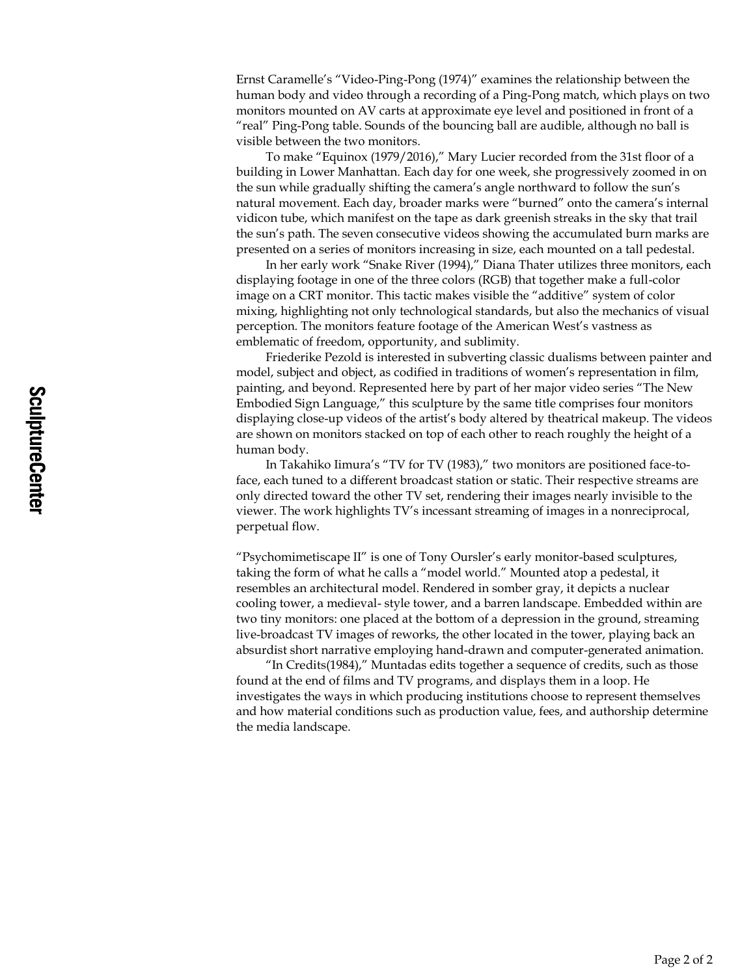Ernst Caramelle's "Video-Ping-Pong (1974)" examines the relationship between the human body and video through a recording of a Ping-Pong match, which plays on two monitors mounted on AV carts at approximate eye level and positioned in front of a "real" Ping-Pong table. Sounds of the bouncing ball are audible, although no ball is visible between the two monitors.

To make "Equinox (1979/2016)," Mary Lucier recorded from the 31st floor of a building in Lower Manhattan. Each day for one week, she progressively zoomed in on the sun while gradually shifting the camera's angle northward to follow the sun's natural movement. Each day, broader marks were "burned" onto the camera's internal vidicon tube, which manifest on the tape as dark greenish streaks in the sky that trail the sun's path. The seven consecutive videos showing the accumulated burn marks are presented on a series of monitors increasing in size, each mounted on a tall pedestal.

In her early work "Snake River (1994)," Diana Thater utilizes three monitors, each displaying footage in one of the three colors (RGB) that together make a full-color image on a CRT monitor. This tactic makes visible the "additive" system of color mixing, highlighting not only technological standards, but also the mechanics of visual perception. The monitors feature footage of the American West's vastness as emblematic of freedom, opportunity, and sublimity.

Friederike Pezold is interested in subverting classic dualisms between painter and model, subject and object, as codified in traditions of women's representation in film, painting, and beyond. Represented here by part of her major video series "The New Embodied Sign Language," this sculpture by the same title comprises four monitors displaying close-up videos of the artist's body altered by theatrical makeup. The videos are shown on monitors stacked on top of each other to reach roughly the height of a human body.

In Takahiko Iimura's "TV for TV (1983)," two monitors are positioned face-toface, each tuned to a different broadcast station or static. Their respective streams are only directed toward the other TV set, rendering their images nearly invisible to the viewer. The work highlights TV's incessant streaming of images in a nonreciprocal, perpetual flow.

"Psychomimetiscape II" is one of Tony Oursler's early monitor-based sculptures, taking the form of what he calls a "model world." Mounted atop a pedestal, it resembles an architectural model. Rendered in somber gray, it depicts a nuclear cooling tower, a medieval- style tower, and a barren landscape. Embedded within are two tiny monitors: one placed at the bottom of a depression in the ground, streaming live-broadcast TV images of reworks, the other located in the tower, playing back an absurdist short narrative employing hand-drawn and computer-generated animation.

"In Credits(1984)," Muntadas edits together a sequence of credits, such as those found at the end of films and TV programs, and displays them in a loop. He investigates the ways in which producing institutions choose to represent themselves and how material conditions such as production value, fees, and authorship determine the media landscape.